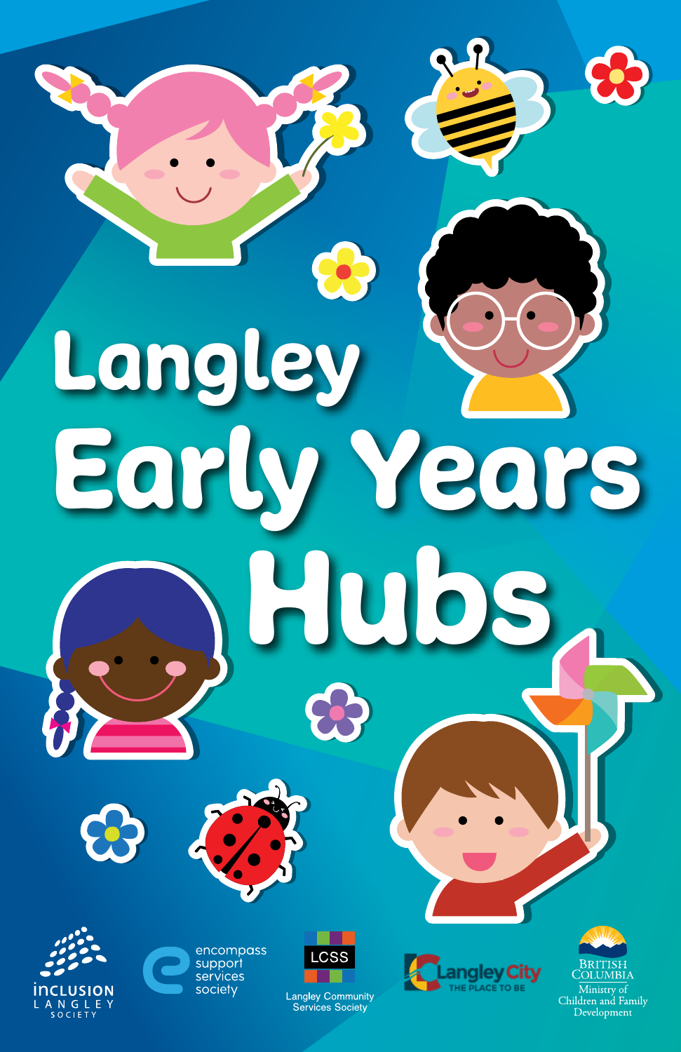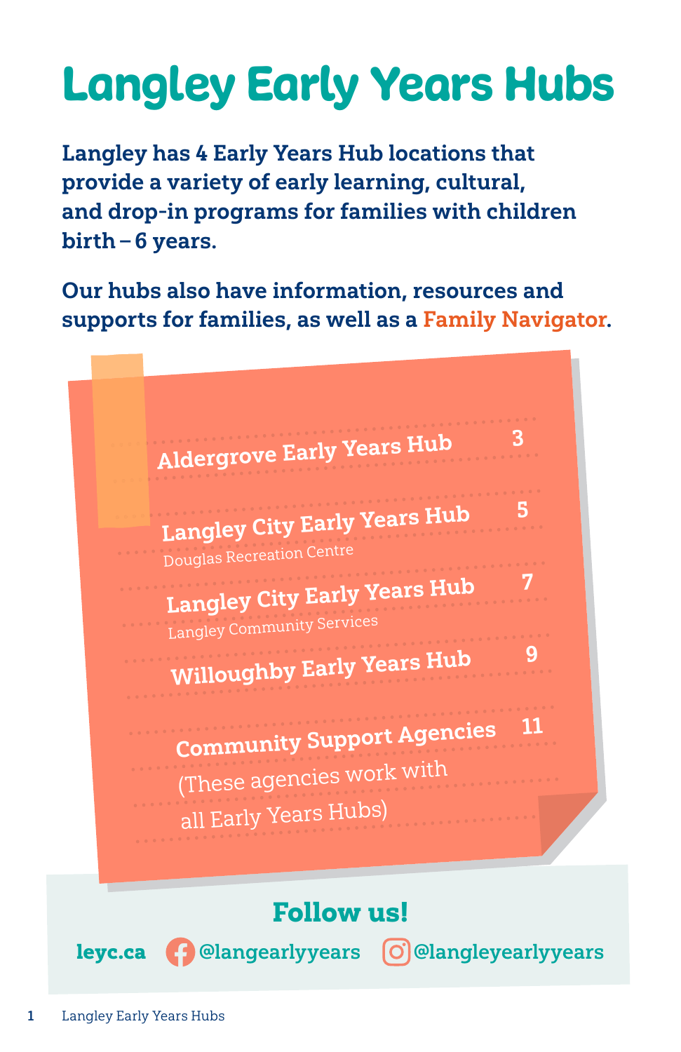## Langley Early Years Hubs

Langley has 4 Early Years Hub locations that provide a variety of early learning, cultural, and drop-in programs for families with children birth – 6 years.

Our hubs also have information, resources and supports for families, as well as a Family Navigator.



## Follow us!

leyc.ca @langearlyyears @langleyearlyyears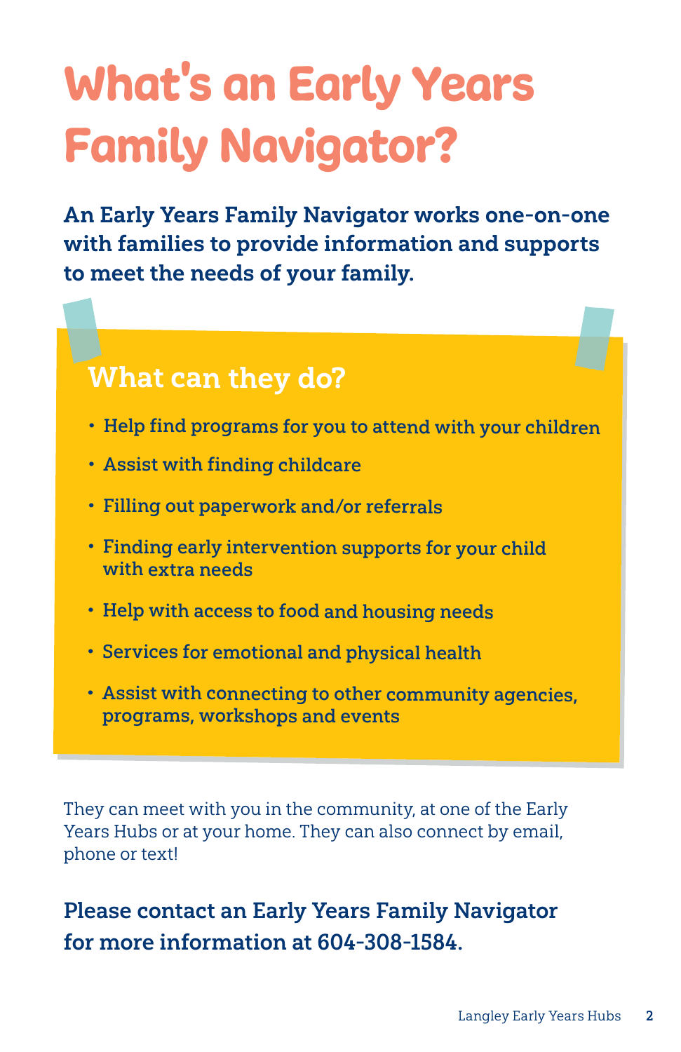## What's an Early Years Family Navigator?

An Early Years Family Navigator works one-on-one with families to provide information and supports to meet the needs of your family.

## What can they do?

- Help find programs for you to attend with your children
- Assist with finding childcare
- Filling out paperwork and/or referrals
- Finding early intervention supports for your child with extra needs
- Help with access to food and housing needs
- Services for emotional and physical health
- Assist with connecting to other community agencies, programs, workshops and events

They can meet with you in the community, at one of the Early Years Hubs or at your home. They can also connect by email, phone or text!

### Please contact an Early Years Family Navigator for more information at 604-308-1584.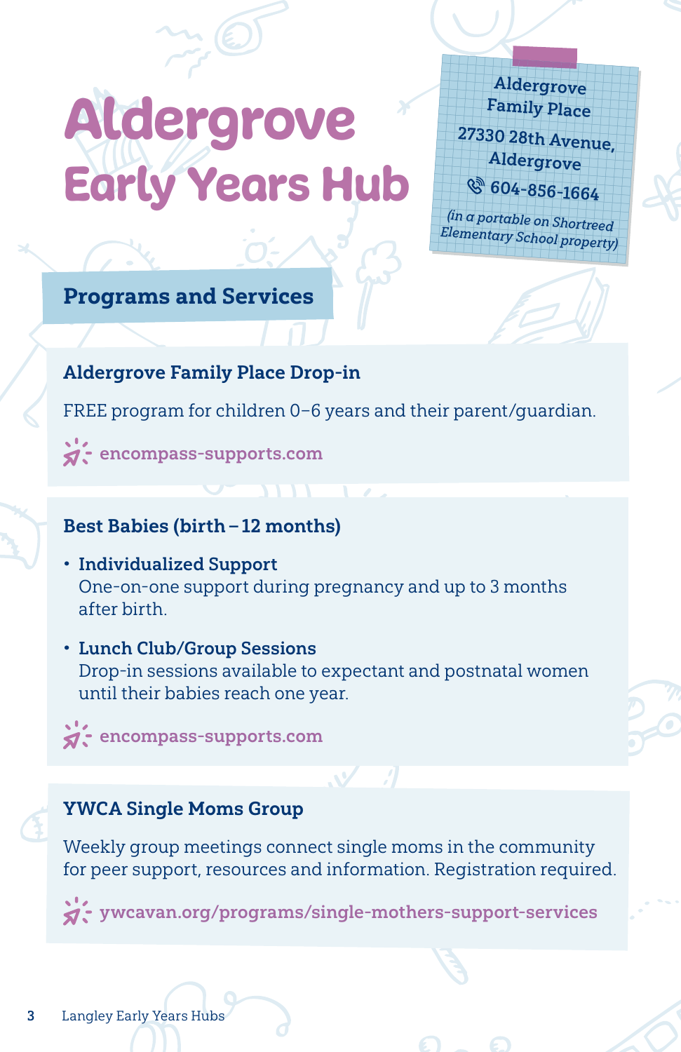# Aldergrove Early Years Hub

Aldergrove Family Place 27330 28th Avenue, Aldergrove **604-856-1664** 

(in a portable on Shortreed Elementary School property)

Programs and Services

#### Aldergrove Family Place Drop-in

FREE program for children 0–6 years and their parent/guardian.

**A**: encompass-supports.com

#### Best Babies (birth – 12 months)

- Individualized Support One-on-one support during pregnancy and up to 3 months after birth.
- Lunch Club/Group Sessions Drop-in sessions available to expectant and postnatal women until their babies reach one year.

S: encompass-supports.com

#### YWCA Single Moms Group

Weekly group meetings connect single moms in the community for peer support, resources and information. Registration required.

 $\overleftrightarrow{z}$ : ywcavan.org/programs/single-mothers-support-services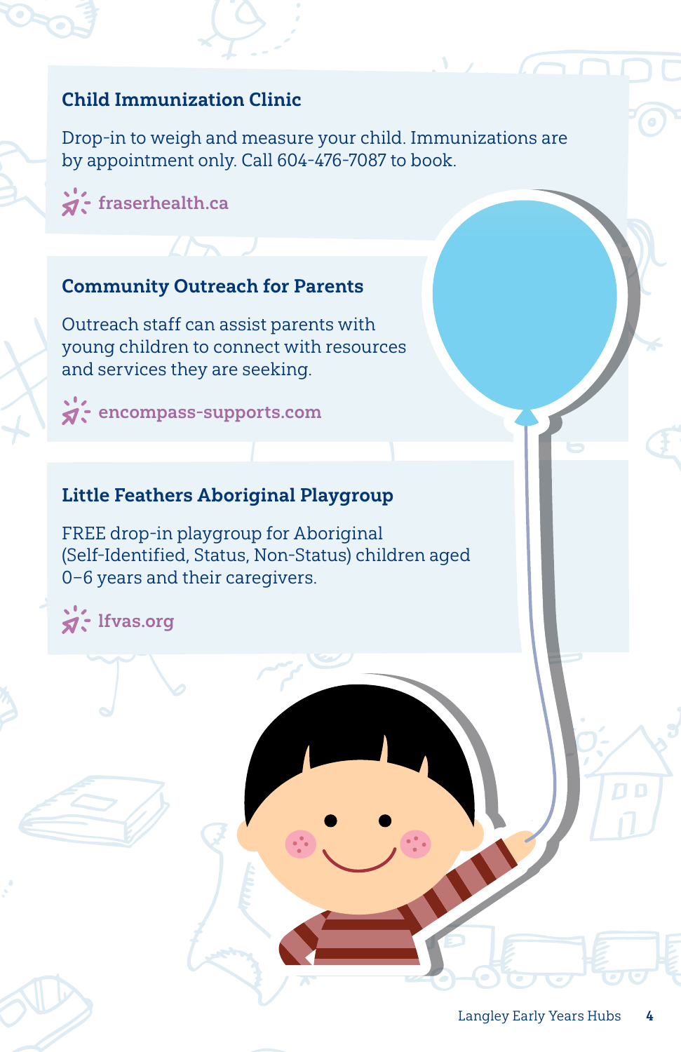#### Child Immunization Clinic

Drop-in to weigh and measure your child. Immunizations are by appointment only. Call 604-476-7087 to book.

\*\*\* fraserhealth.ca

#### Community Outreach for Parents

Outreach staff can assist parents with young children to connect with resources and services they are seeking.

 $\mathcal{L}$  encompass-supports.com

#### Little Feathers Aboriginal Playgroup

FREE drop-in playgroup for Aboriginal (Self-Identified, Status, Non-Status) children aged 0–6 years and their caregivers.

 $\overleftrightarrow{a}$ : lfvas.org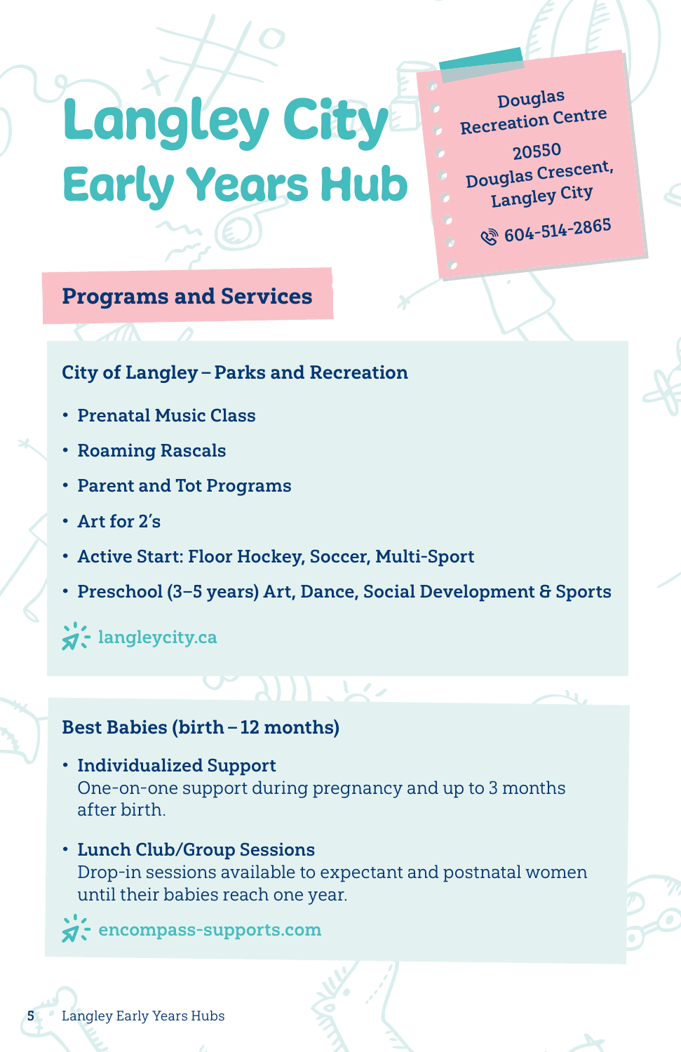# Langley City Early Years Hub

Douglas Recreation Centre 20550 Douglas Crescent, Langley City **8** 604-514-2865

Programs and Services

#### City of Langley – Parks and Recreation

- Prenatal Music Class
- Roaming Rascals
- Parent and Tot Programs
- Art for 2's
- Active Start: Floor Hockey, Soccer, Multi-Sport
- Preschool (3–5 years) Art, Dance, Social Development & Sports
- $\mathbf{a}$ : langleycity.ca

#### Best Babies (birth – 12 months)

- Individualized Support One-on-one support during pregnancy and up to 3 months after birth.
- Lunch Club/Group Sessions Drop-in sessions available to expectant and postnatal women until their babies reach one year.
- **C**: encompass-supports.com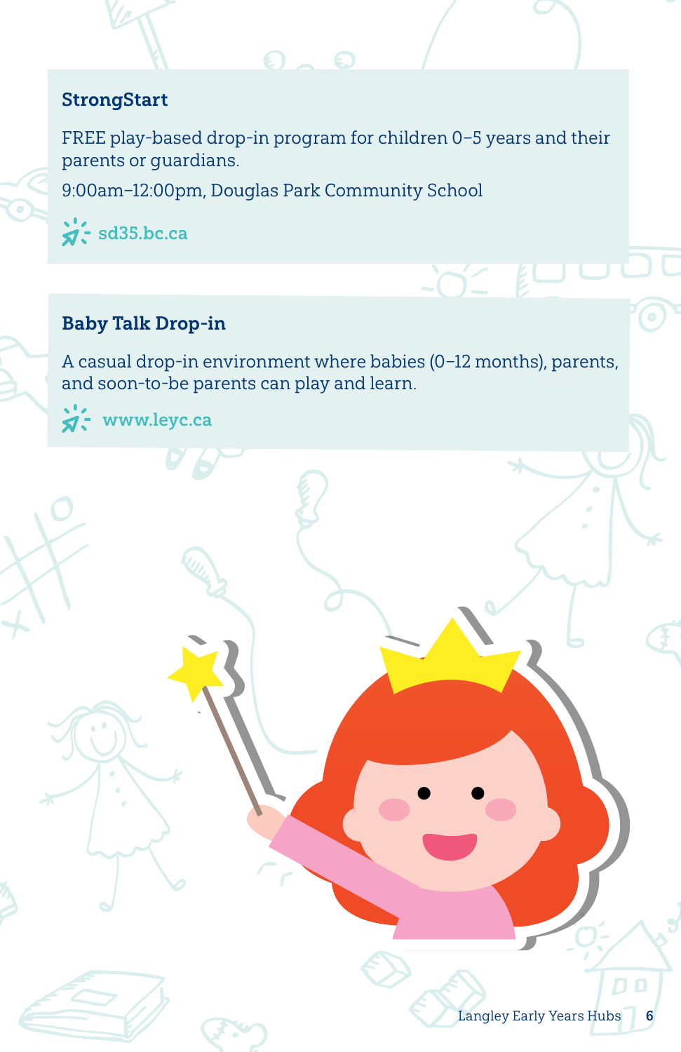#### **StrongStart**

FREE play-based drop-in program for children 0–5 years and their parents or guardians.

9:00am–12:00pm, Douglas Park Community School

 $\overleftrightarrow{z}$  sd35.bc.ca

#### Baby Talk Drop-in

A casual drop-in environment where babies (0–12 months), parents, and soon-to-be parents can play and learn.

**x**: www.leyc.ca

 $\bm{\Pi}$   $\bm{\Pi}$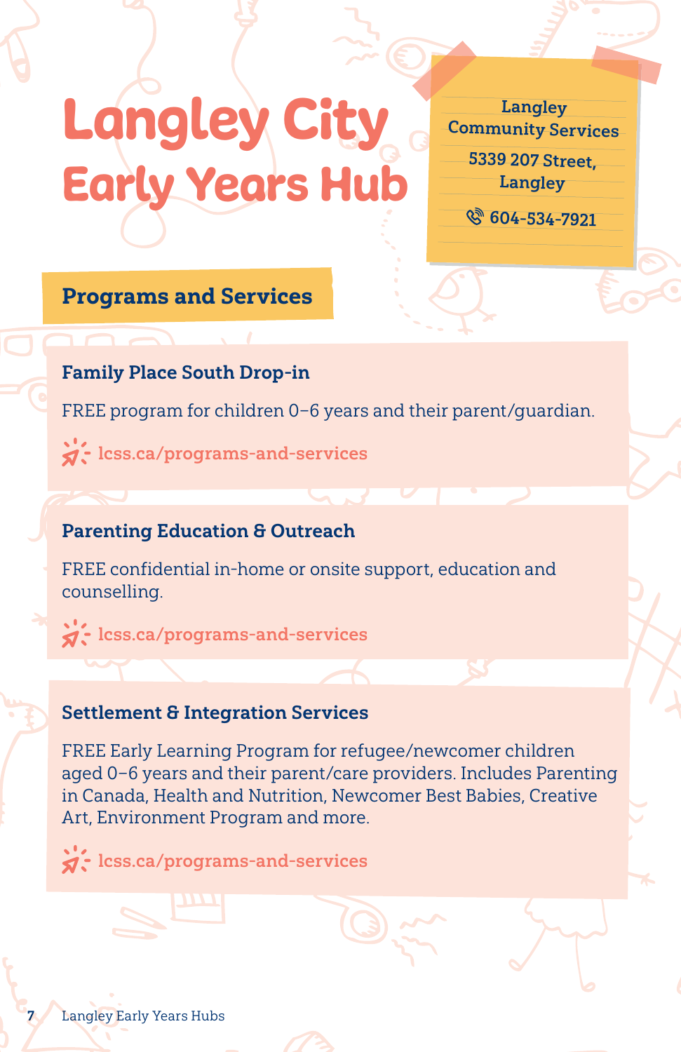## Langley City Early Years Hub

**Langley** Community Services 5339 207 Street Langley

**8** 604-534-7921

#### Programs and Services

#### Family Place South Drop-in

FREE program for children 0–6 years and their parent/guardian.

 $\chi^{\prime}$  lcss.ca/programs-and-services

#### Parenting Education & Outreach

FREE confidential in-home or onsite support, education and counselling.

 $\chi$ - lcss.ca/programs-and-services

#### Settlement & Integration Services

FREE Early Learning Program for refugee/newcomer children aged 0–6 years and their parent/care providers. Includes Parenting in Canada, Health and Nutrition, Newcomer Best Babies, Creative Art, Environment Program and more.

 $\mathcal{L}$  lcss.ca/programs-and-services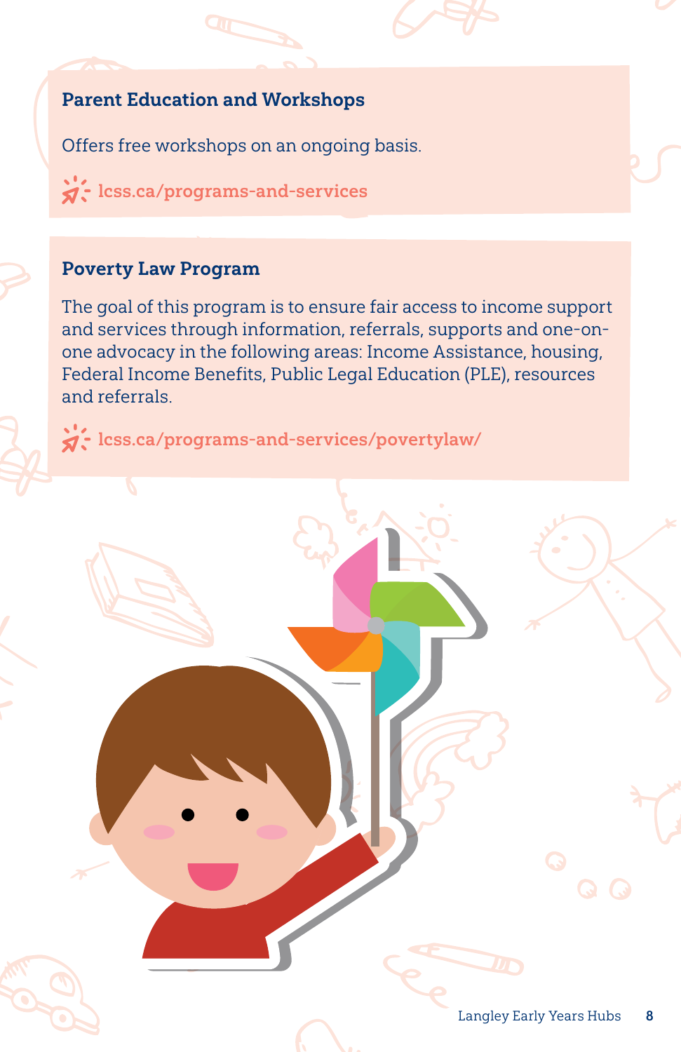#### Parent Education and Workshops

Offers free workshops on an ongoing basis.

 $\chi$  lcss.ca/programs-and-services

#### Poverty Law Program

The goal of this program is to ensure fair access to income support and services through information, referrals, supports and one-onone advocacy in the following areas: Income Assistance, housing, Federal Income Benefits, Public Legal Education (PLE), resources and referrals.

 $\chi'$ - lcss.ca/programs-and-services/povertylaw/

G G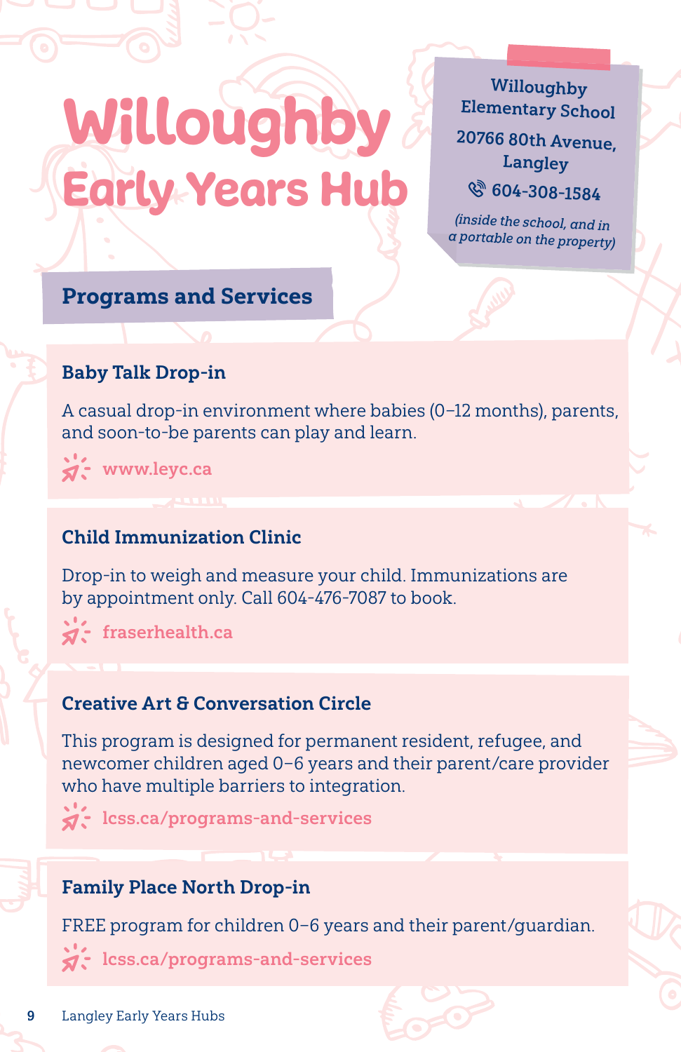# Willoughby Early Years Hub

Willoughby Elementary School 20766 80th Avenue, Langley **604-308-1584** 

(inside the school, and in a portable on the property)

#### Programs and Services

#### Baby Talk Drop-in

A casual drop-in environment where babies (0–12 months), parents, and soon-to-be parents can play and learn.

 $\overleftrightarrow{a}$ : www.leyc.ca

#### Child Immunization Clinic

Drop-in to weigh and measure your child. Immunizations are by appointment only. Call 604-476-7087 to book.

 $\overleftrightarrow{a}$ : fraserhealth.ca

#### Creative Art & Conversation Circle

This program is designed for permanent resident, refugee, and newcomer children aged 0–6 years and their parent/care provider who have multiple barriers to integration.

 $\mathcal{L}$  lcss.ca/programs-and-services

#### Family Place North Drop-in

FREE program for children 0–6 years and their parent/guardian.

 $\mathcal{L}$  lcss.ca/programs-and-services



9 Langley Early Years Hubs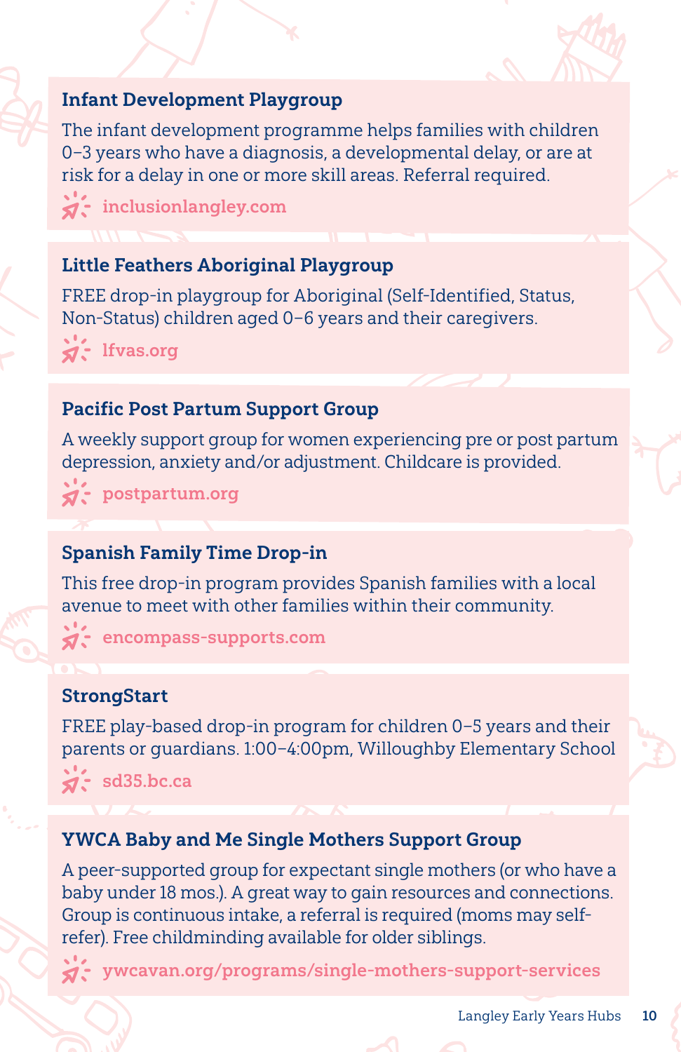

#### Infant Development Playgroup

The infant development programme helps families with children 0–3 years who have a diagnosis, a developmental delay, or are at risk for a delay in one or more skill areas. Referral required.

 $\lambda$ : inclusionlangley.com

#### Little Feathers Aboriginal Playgroup

FREE drop-in playgroup for Aboriginal (Self-Identified, Status, Non-Status) children aged 0–6 years and their caregivers.

 $\overleftrightarrow{a}$ : Ifvas.org

#### Pacific Post Partum Support Group

A weekly support group for women experiencing pre or post partum depression, anxiety and/or adjustment. Childcare is provided.

 $\overrightarrow{a}$ : postpartum.org

#### Spanish Family Time Drop-in

This free drop-in program provides Spanish families with a local avenue to meet with other families within their community.

 $\mathbf{z}'$  encompass-supports.com

#### **StrongStart**

FREE play-based drop-in program for children 0–5 years and their parents or guardians. 1:00–4:00pm, Willoughby Elementary School

 $\overleftrightarrow{a}$ : sd35.bc.ca

#### YWCA Baby and Me Single Mothers Support Group

A peer-supported group for expectant single mothers (or who have a baby under 18 mos.). A great way to gain resources and connections. Group is continuous intake, a referral is required (moms may selfrefer). Free childminding available for older siblings.

 $\lambda$  - ywcavan.org/programs/single-mothers-support-services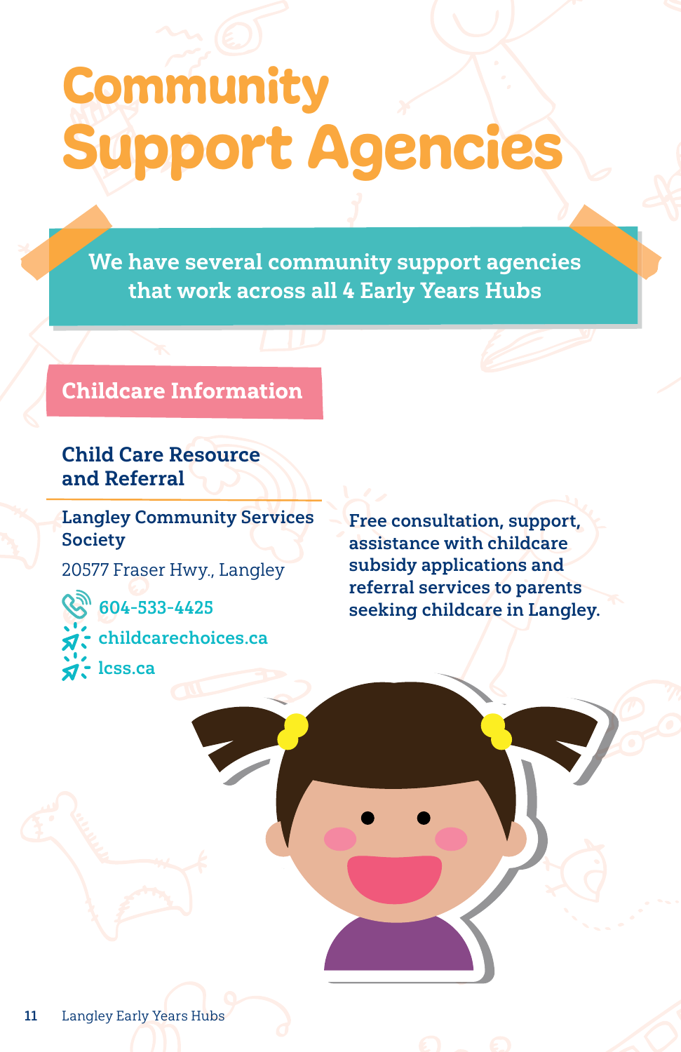# **Community** Support Agencies

We have several community support agencies that work across all 4 Early Years Hubs

#### Childcare Information

Child Care Resource and Referral

Langley Community Services Society

20577 Fraser Hwy., Langley

 $\binom{10}{16}$  604-533-4425  $\overleftrightarrow{\mathbf{x}}$ : childcarechoices.ca  $\overrightarrow{a}$ . Icss.ca

Free consultation, support, assistance with childcare subsidy applications and referral services to parents seeking childcare in Langley.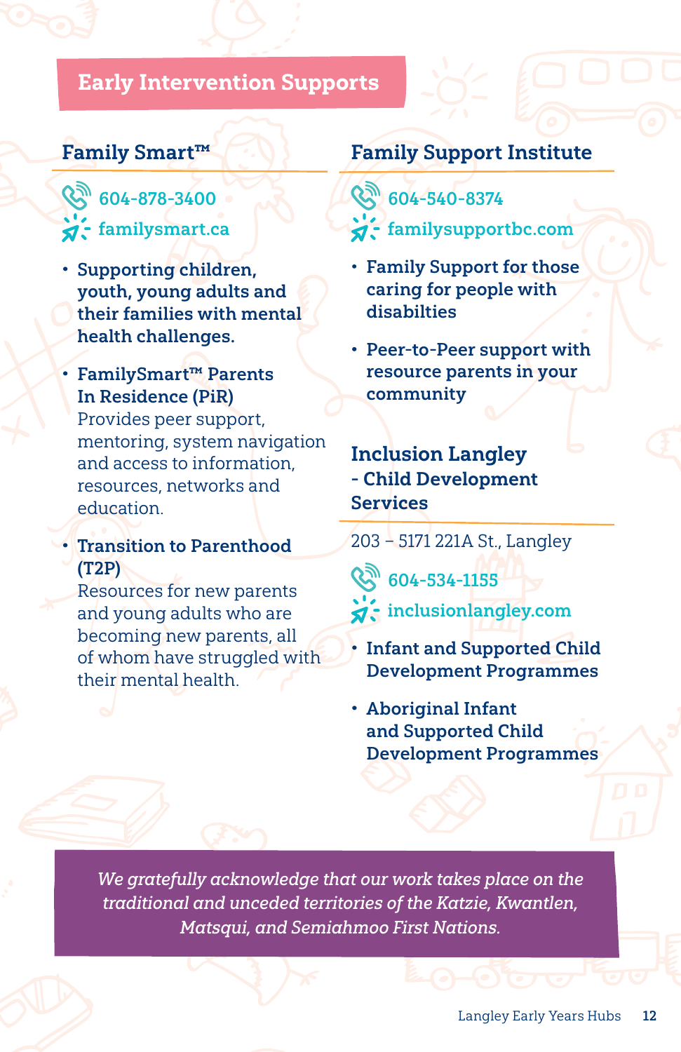#### Early Intervention Supports

### Family Smart™

## 604-878-3400  $\mathcal{A}$ : familysmart.ca

• Supporting children, youth, young adults and their families with mental health challenges.

#### • FamilySmart™ Parents In Residence (PiR)

Provides peer support, mentoring, system navigation and access to information, resources, networks and education.

#### **Transition to Parenthood** (T2P)

Resources for new parents and young adults who are becoming new parents, all of whom have struggled with their mental health.

#### Family Support Institute

- 604-540-8374  $\lambda$  familysupportbc.com
- Family Support for those caring for people with disabilties
- Peer-to-Peer support with resource parents in your community

#### Inclusion Langley - Child Development **Services**

203 – 5171 221A St., Langley

- $\mathbb{Q}^{\mathbb{Z}}$  604-534-1155  $\overrightarrow{a}$  inclusionlangley.com
- Infant and Supported Child Development Programmes
- Aboriginal Infant and Supported Child Development Programmes

We gratefully acknowledge that our work takes place on the traditional and unceded territories of the Katzie, Kwantlen, Matsqui, and Semiahmoo First Nations.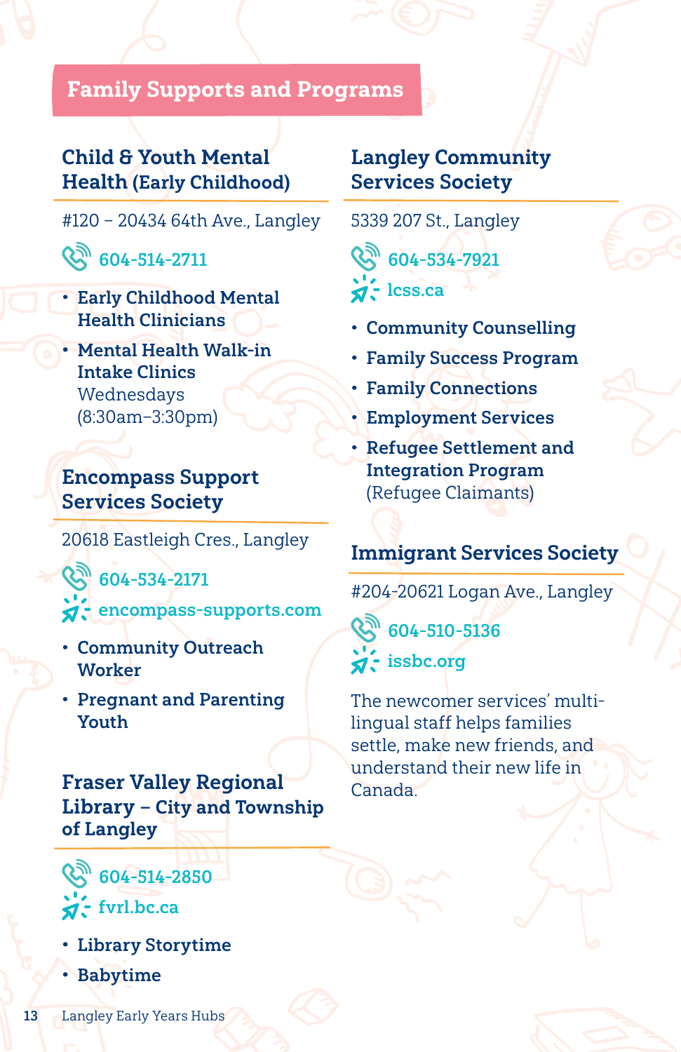#### Family Supports and Programs

#### Child & Youth Mental Health (Early Childhood)

#120 – 20434 64th Ave., Langley

604-514-2711

- Early Childhood Mental Health Clinicians
- Mental Health Walk-in Intake Clinics Wednesdays (8:30am–3:30pm)

#### Encompass Support Services Society

20618 Eastleigh Cres., Langley

 $\mathbb{Q}^{36}$  604-534-2171 **d**: encompass-supports.com

- Community Outreach Worker
- Pregnant and Parenting Youth

Fraser Valley Regional Library – City and Township of Langley



- Library Storytime
- Babytime

#### Langley Community Services Society

5339 207 St., Langley

604-534-7921  $\overrightarrow{a}$  - lcss.ca

- Community Counselling
- Family Success Program
- Family Connections
- Employment Services
- Refugee Settlement and Integration Program (Refugee Claimants)

#### Immigrant Services Society

#204-20621 Logan Ave., Langley

604-510-5136 issbc.org

The newcomer services' multilingual staff helps families settle, make new friends, and understand their new life in Canada.

13 Langley Early Years Hubs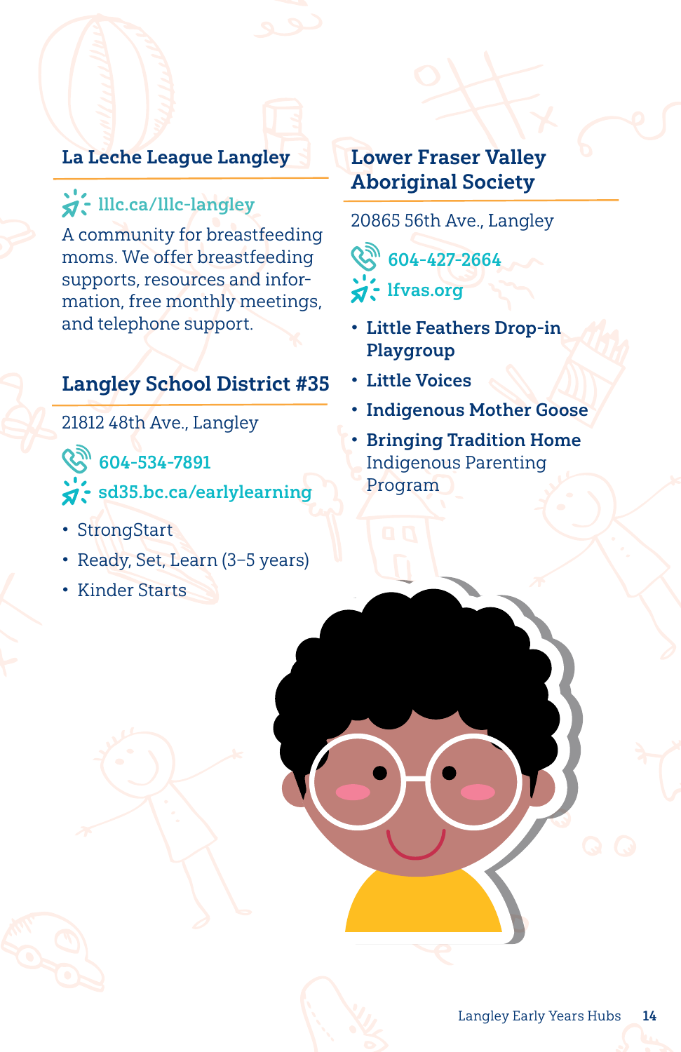#### La Leche League Langley

## d: lllc.ca/lllc-langley

A community for breastfeeding moms. We offer breastfeeding supports, resources and information, free monthly meetings, and telephone support.

#### Langley School District #35

21812 48th Ave., Langley

 $\mathbb{R}^{3}$  604-534-7891  $\overleftrightarrow{a}$ : sd35.bc.ca/earlylearning

- StrongStart
- Ready, Set, Learn (3–5 years)
- Kinder Starts

#### Lower Fraser Valley Aboriginal Society

20865 56th Ave., Langley

604-427-2664  $\overrightarrow{a}$  - Ifvas.org

- Little Feathers Drop-in Playgroup
- Little Voices
- Indigenous Mother Goose
- Bringing Tradition Home Indigenous Parenting Program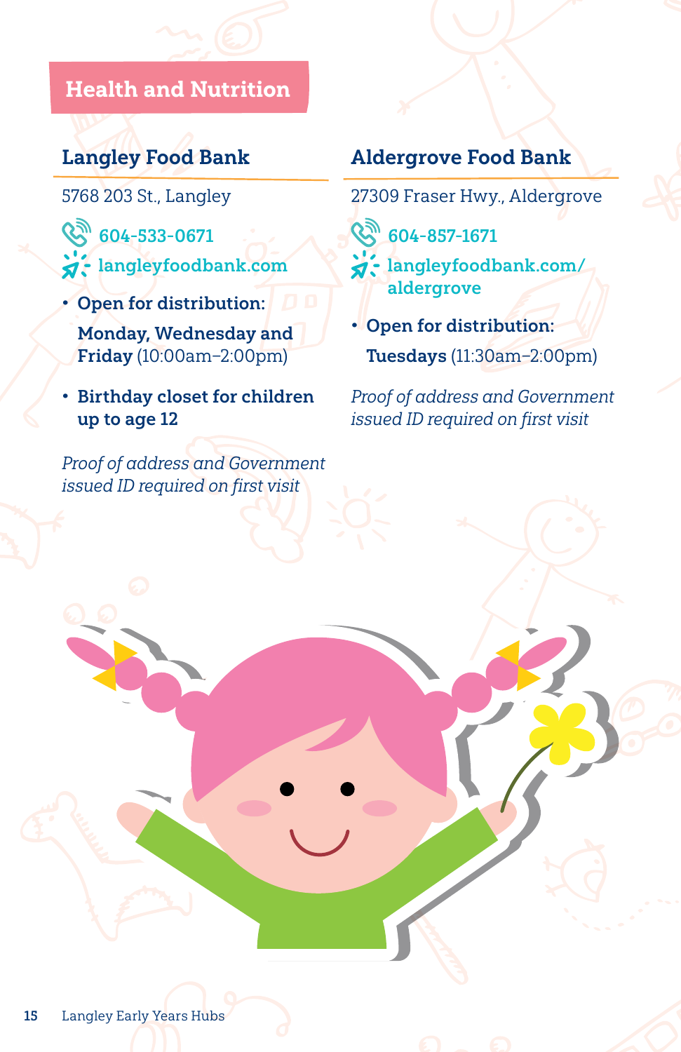#### Health and Nutrition

#### Langley Food Bank

5768 203 St., Langley

- 604-533-0671 langleyfoodbank.com
- Open for distribution: Monday, Wednesday and Friday (10:00am–2:00pm)
- Birthday closet for children up to age 12

Proof of address and Government issued ID required on first visit

#### Aldergrove Food Bank

27309 Fraser Hwy., Aldergrove

- 604-857-1671
- langleyfoodbank.com/ aldergrove
- Open for distribution: Tuesdays (11:30am–2:00pm)

Proof of address and Government issued ID required on first visit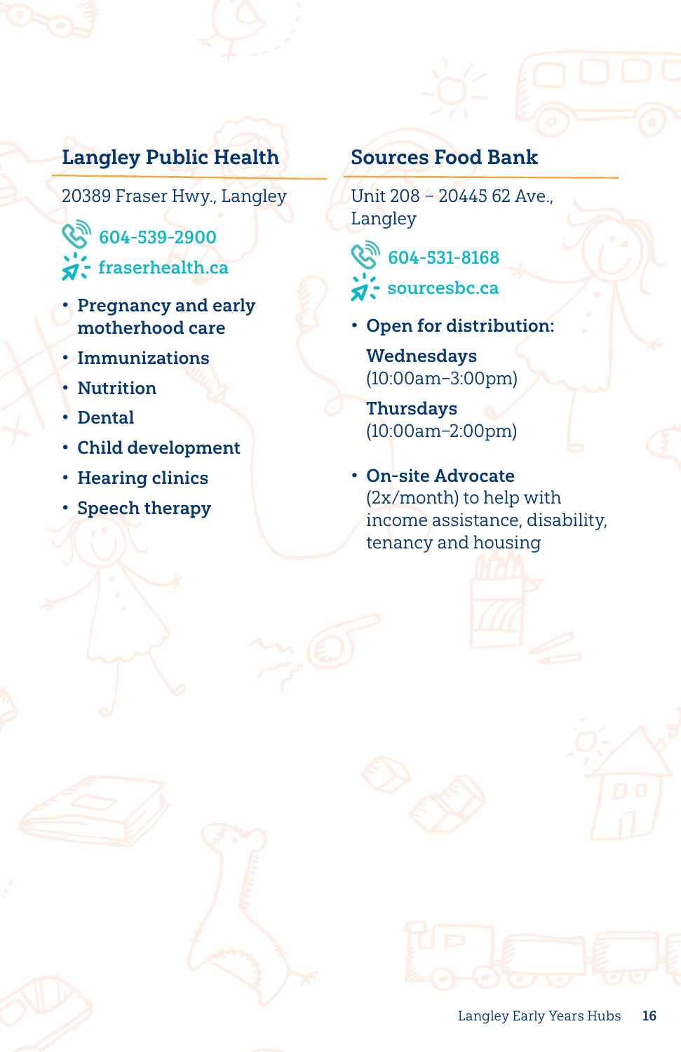### Langley Public Health

20389 Fraser Hwy., Langley

 $\mathbb{Q}^{\mathbb{N}}$  604-539-2900  $\overleftrightarrow{a}$ : fraserhealth.ca

- Pregnancy and early motherhood care
- Immunizations
- Nutrition
- Dental
- Child development
- Hearing clinics
- Speech therapy

#### Sources Food Bank

Unit 208 – 20445 62 Ave., **Langley** 

- 604-531-8168  $\mathcal{S}$ : sourcesbc.ca
- Open for distribution:

Wednesdays (10:00am–3:00pm)

Thursdays (10:00am–2:00pm)

• On-site Advocate (2x/month) to help with income assistance, disability, tenancy and housing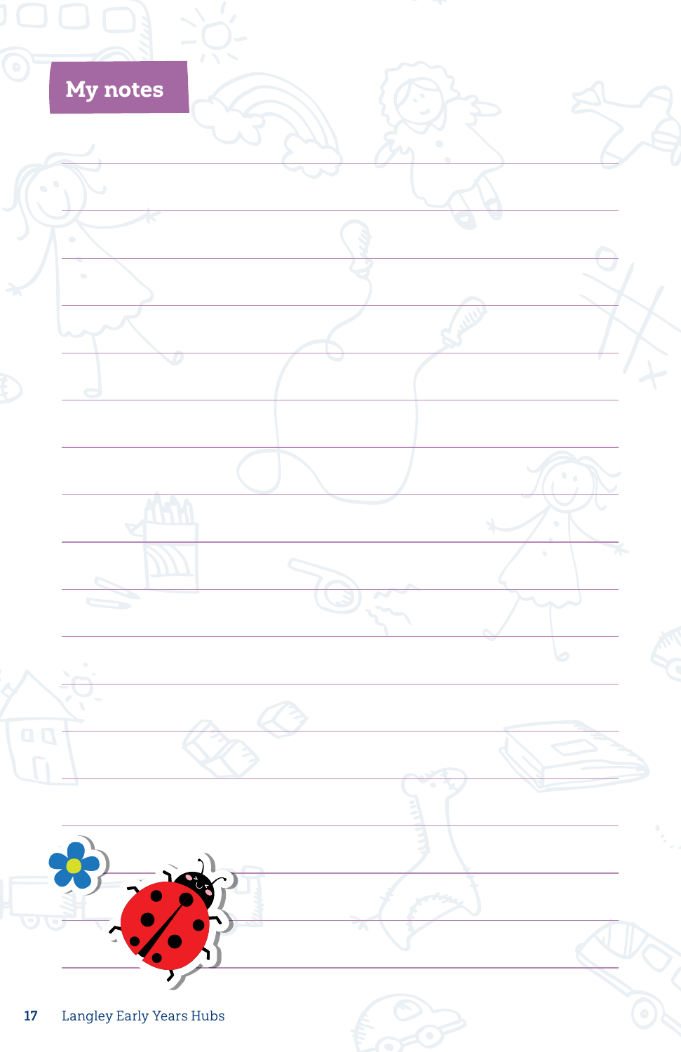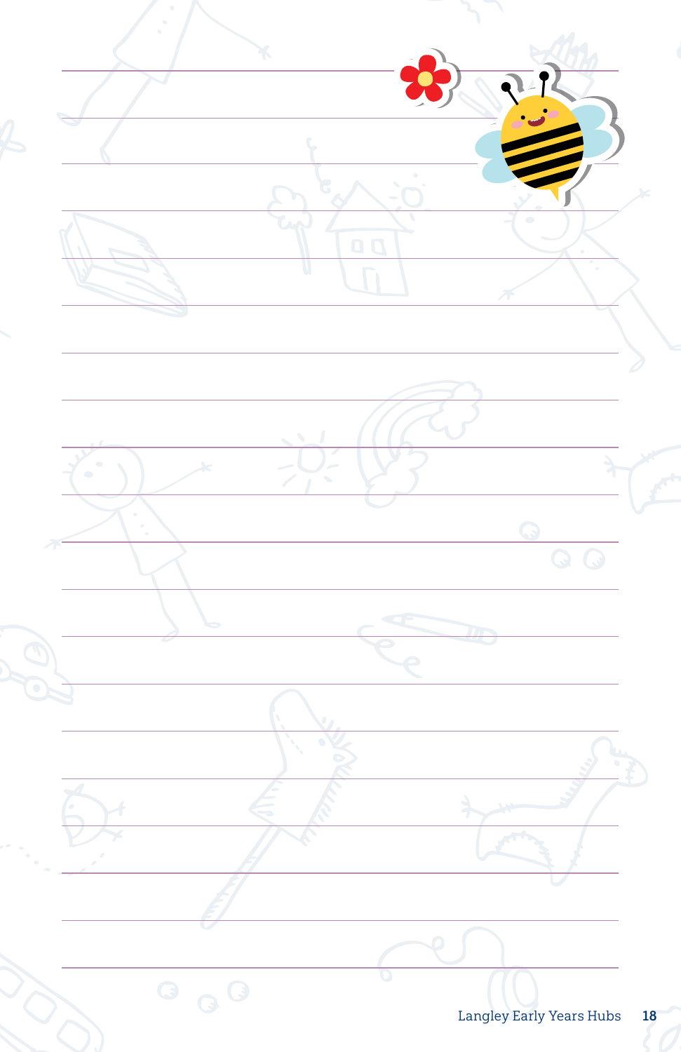